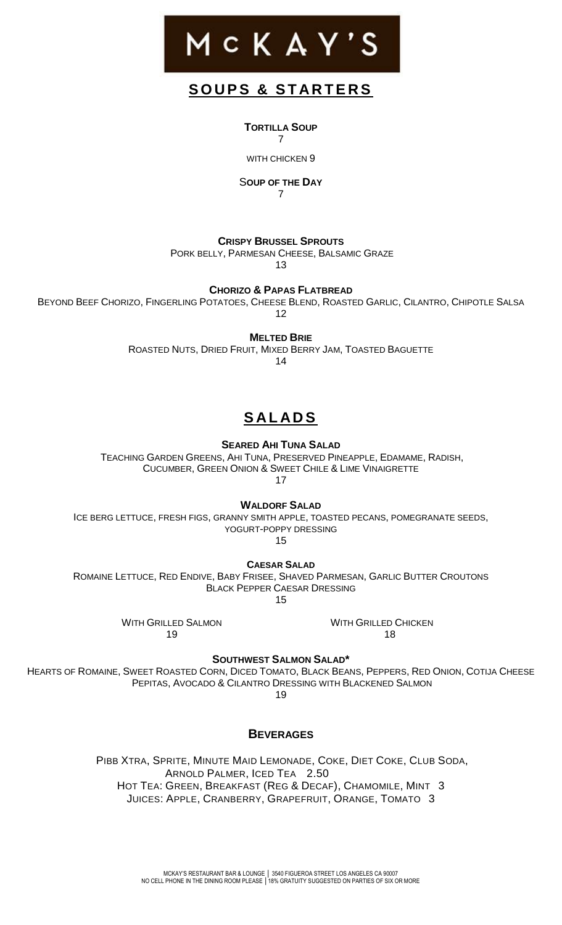

## **S O U P S & S T A R T E R S**

**TORTILLA SOUP** 7

WITH CHICKEN 9

S**OUP OF THE DAY**

7

**CRISPY BRUSSEL SPROUTS**

PORK BELLY, PARMESAN CHEESE, BALSAMIC GRAZE

13

**CHORIZO & PAPAS FLATBREAD**

BEYOND BEEF CHORIZO, FINGERLING POTATOES, CHEESE BLEND, ROASTED GARLIC, CILANTRO, CHIPOTLE SALSA 12

**MELTED BRIE**

ROASTED NUTS, DRIED FRUIT, MIXED BERRY JAM, TOASTED BAGUETTE

14

## **S AL AD S**

**SEARED AHI TUNA SALAD**

TEACHING GARDEN GREENS, AHI TUNA, PRESERVED PINEAPPLE, EDAMAME, RADISH, CUCUMBER, GREEN ONION & SWEET CHILE & LIME VINAIGRETTE

17

**WALDORF SALAD**

ICE BERG LETTUCE, FRESH FIGS, GRANNY SMITH APPLE, TOASTED PECANS, POMEGRANATE SEEDS, YOGURT-POPPY DRESSING

15

**CAESAR SALAD**

ROMAINE LETTUCE, RED ENDIVE, BABY FRISEE, SHAVED PARMESAN, GARLIC BUTTER CROUTONS BLACK PEPPER CAESAR DRESSING

15

WITH GRILLED SALMON 19

WITH GRILLED CHICKEN 18

**SOUTHWEST SALMON SALAD\***

HEARTS OF ROMAINE, SWEET ROASTED CORN, DICED TOMATO, BLACK BEANS, PEPPERS, RED ONION, COTIJA CHEESE PEPITAS, AVOCADO & CILANTRO DRESSING WITH BLACKENED SALMON 19

**BEVERAGES**

PIBB XTRA, SPRITE, MINUTE MAID LEMONADE, COKE, DIET COKE, CLUB SODA, ARNOLD PALMER, ICED TEA 2.50 HOT TEA: GREEN, BREAKFAST (REG & DECAF), CHAMOMILE, MINT 3 JUICES: APPLE, CRANBERRY, GRAPEFRUIT, ORANGE, TOMATO 3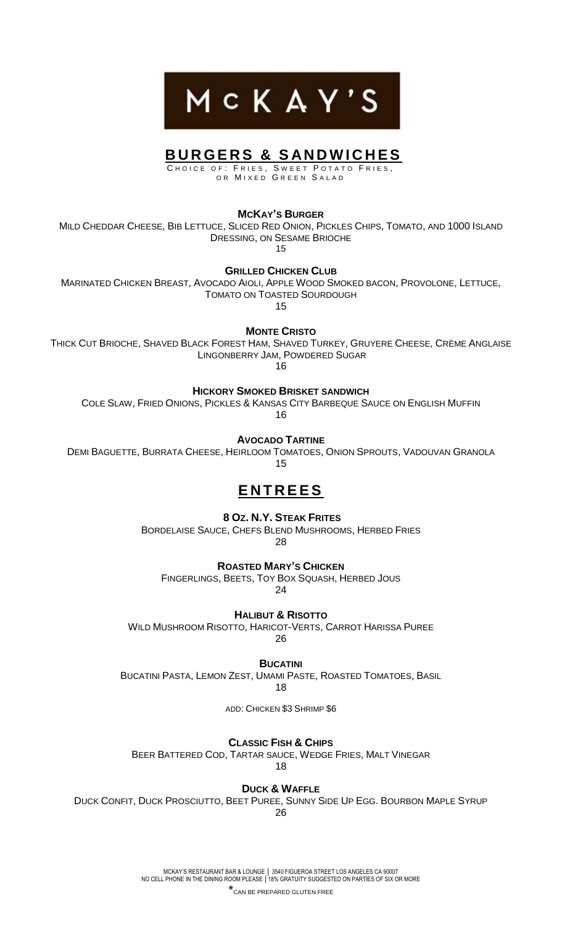

## **B U R G E R S & S AN D W I C H E S**

C H O I C E O F : FRIE S, S W E E T P O T A T O FRIE S , OR MIXED GREEN SALAD

**MCKAY'S BURGER**

MILD CHEDDAR CHEESE, BIB LETTUCE, SLICED RED ONION, PICKLES CHIPS, TOMATO, AND 1000 ISLAND DRESSING, ON SESAME BRIOCHE

15

**GRILLED CHICKEN CLUB**

MARINATED CHICKEN BREAST, AVOCADO AIOLI, APPLE WOOD SMOKED BACON, PROVOLONE, LETTUCE, TOMATO ON TOASTED SOURDOUGH

15

**MONTE CRISTO**

THICK CUT BRIOCHE, SHAVED BLACK FOREST HAM, SHAVED TURKEY, GRUYERE CHEESE, CRÈME ANGLAISE LINGONBERRY JAM, POWDERED SUGAR

16

**HICKORY SMOKED BRISKET SANDWICH**

COLE SLAW, FRIED ONIONS, PICKLES & KANSAS CITY BARBEQUE SAUCE ON ENGLISH MUFFIN 16

**AVOCADO TARTINE**

DEMI BAGUETTE, BURRATA CHEESE, HEIRLOOM TOMATOES, ONION SPROUTS, VADOUVAN GRANOLA 15

## **E N T R E E S**

**8 OZ. N.Y. STEAK FRITES**

BORDELAISE SAUCE, CHEFS BLEND MUSHROOMS, HERBED FRIES 28

**ROASTED MARY'S CHICKEN**

FINGERLINGS, BEETS, TOY BOX SQUASH, HERBED JOUS 24

**HALIBUT & RISOTTO**

WILD MUSHROOM RISOTTO, HARICOT-VERTS, CARROT HARISSA PUREE 26

**BUCATINI**

BUCATINI PASTA, LEMON ZEST, UMAMI PASTE, ROASTED TOMATOES, BASIL

18

ADD: CHICKEN \$3 SHRIMP \$6

**CLASSIC FISH & CHIPS**

BEER BATTERED COD, TARTAR SAUCE, WEDGE FRIES, MALT VINEGAR

18

**DUCK & WAFFLE**

DUCK CONFIT, DUCK PROSCIUTTO, BEET PUREE, SUNNY SIDE UP EGG. BOURBON MAPLE SYRUP 26

> MCKAY'S RESTAURANT BAR & LOUNGE │ 3540 FIGUEROA STREET LOS ANGELES CA 90007 NO CELL PHONE IN THE DINING ROOM PLEASE │18% GRATUITY SUGGESTED ON PARTIES OF SIX OR MORE

\*CAN BE PREPARED GLUTEN FREE